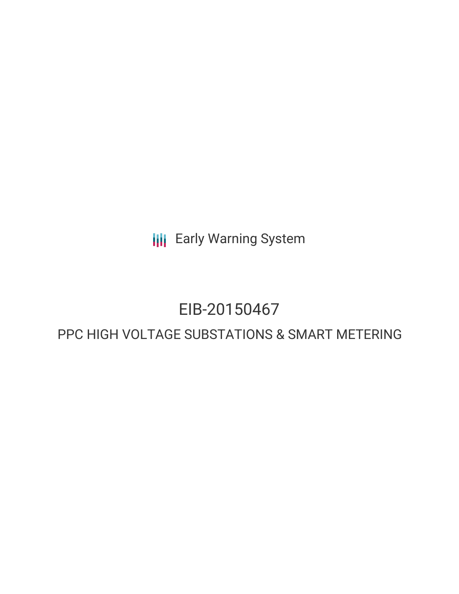**III** Early Warning System

# EIB-20150467

# PPC HIGH VOLTAGE SUBSTATIONS & SMART METERING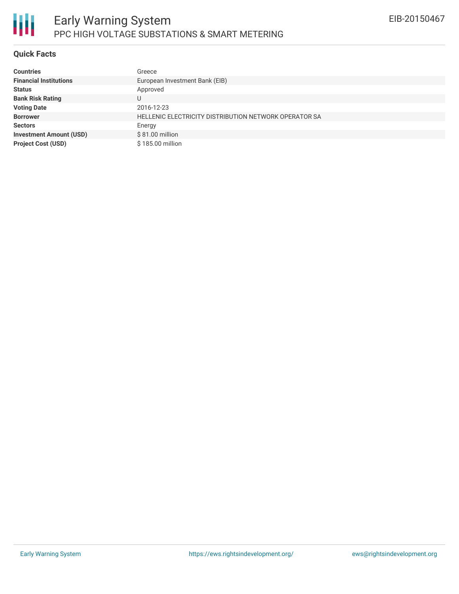

#### **Quick Facts**

| <b>Countries</b>               | Greece                                                |
|--------------------------------|-------------------------------------------------------|
| <b>Financial Institutions</b>  | European Investment Bank (EIB)                        |
| <b>Status</b>                  | Approved                                              |
| <b>Bank Risk Rating</b>        | U                                                     |
| <b>Voting Date</b>             | 2016-12-23                                            |
| <b>Borrower</b>                | HELLENIC ELECTRICITY DISTRIBUTION NETWORK OPERATOR SA |
| <b>Sectors</b>                 | Energy                                                |
| <b>Investment Amount (USD)</b> | \$81.00 million                                       |
| <b>Project Cost (USD)</b>      | \$185,00 million                                      |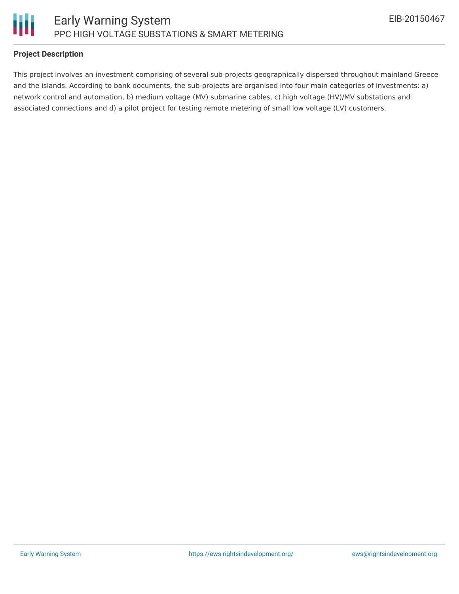

## **Project Description**

This project involves an investment comprising of several sub-projects geographically dispersed throughout mainland Greece and the islands. According to bank documents, the sub-projects are organised into four main categories of investments: a) network control and automation, b) medium voltage (MV) submarine cables, c) high voltage (HV)/MV substations and associated connections and d) a pilot project for testing remote metering of small low voltage (LV) customers.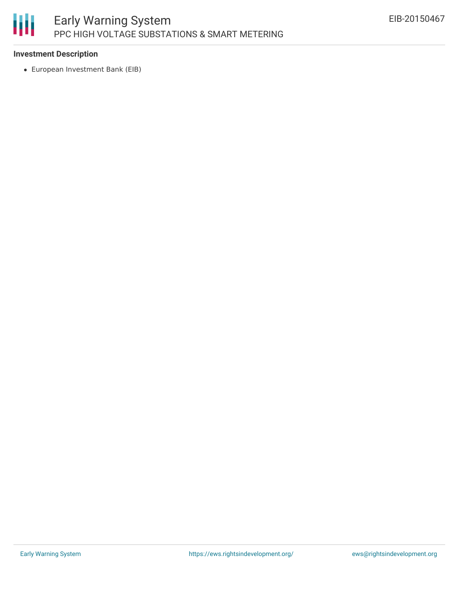

### **Investment Description**

European Investment Bank (EIB)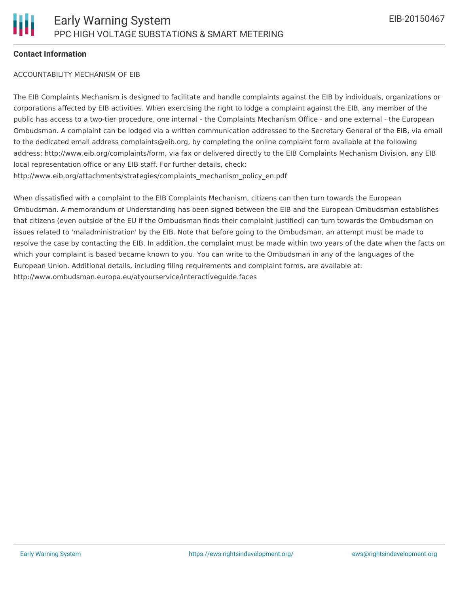### **Contact Information**

#### ACCOUNTABILITY MECHANISM OF EIB

The EIB Complaints Mechanism is designed to facilitate and handle complaints against the EIB by individuals, organizations or corporations affected by EIB activities. When exercising the right to lodge a complaint against the EIB, any member of the public has access to a two-tier procedure, one internal - the Complaints Mechanism Office - and one external - the European Ombudsman. A complaint can be lodged via a written communication addressed to the Secretary General of the EIB, via email to the dedicated email address complaints@eib.org, by completing the online complaint form available at the following address: http://www.eib.org/complaints/form, via fax or delivered directly to the EIB Complaints Mechanism Division, any EIB local representation office or any EIB staff. For further details, check: http://www.eib.org/attachments/strategies/complaints\_mechanism\_policy\_en.pdf

When dissatisfied with a complaint to the EIB Complaints Mechanism, citizens can then turn towards the European Ombudsman. A memorandum of Understanding has been signed between the EIB and the European Ombudsman establishes that citizens (even outside of the EU if the Ombudsman finds their complaint justified) can turn towards the Ombudsman on issues related to 'maladministration' by the EIB. Note that before going to the Ombudsman, an attempt must be made to resolve the case by contacting the EIB. In addition, the complaint must be made within two years of the date when the facts on which your complaint is based became known to you. You can write to the Ombudsman in any of the languages of the European Union. Additional details, including filing requirements and complaint forms, are available at: http://www.ombudsman.europa.eu/atyourservice/interactiveguide.faces